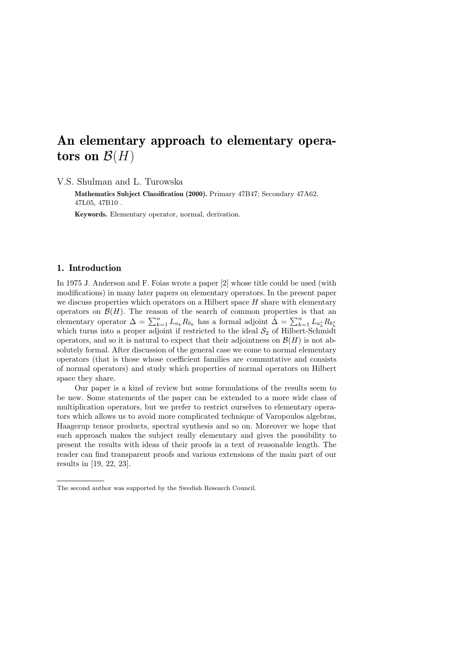# An elementary approach to elementary operators on  $\mathcal{B}(H)$

V.S. Shulman and L. Turowska

Mathematics Subject Classification (2000). Primary 47B47; Secondary 47A62, 47L05, 47B10 .

Keywords. Elementary operator, normal, derivation.

#### 1. Introduction

In 1975 J. Anderson and F. Foias wrote a paper [2] whose title could be used (with modifications) in many later papers on elementary operators. In the present paper we discuss properties which operators on a Hilbert space  $H$  share with elementary operators on  $\mathcal{B}(H)$ . The reason of the search of common properties is that an elementary operator  $\Delta = \sum_{k=1}^{n} L_{a_k} R_{b_k}$  has a formal adjoint  $\tilde{\Delta} = \sum_{k=1}^{n} L_{a_k} R_{b_k}$  which turns into a proper adjoint if restricted to the ideal  $S_2$  of Hilbert-Schmidt operators, and so it is natural to expect that their adjointness on  $\mathcal{B}(H)$  is not absolutely formal. After discussion of the general case we come to normal elementary operators (that is those whose coefficient families are commutative and consists of normal operators) and study which properties of normal operators on Hilbert space they share.

Our paper is a kind of review but some formulations of the results seem to be new. Some statements of the paper can be extended to a more wide class of multiplication operators, but we prefer to restrict ourselves to elementary operators which allows us to avoid more complicated technique of Varopoulos algebras, Haagerup tensor products, spectral synthesis and so on. Moreover we hope that such approach makes the subject really elementary and gives the possibility to present the results with ideas of their proofs in a text of reasonable length. The reader can find transparent proofs and various extensions of the main part of our results in [19, 22, 23].

The second author was supported by the Swedish Research Council.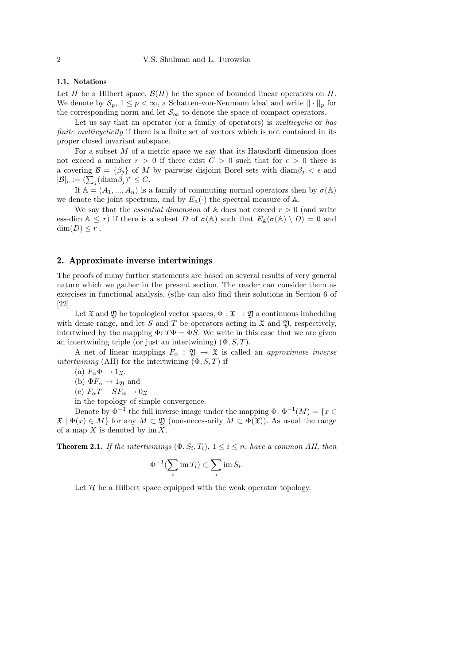#### 1.1. Notations

Let H be a Hilbert space,  $\mathcal{B}(H)$  be the space of bounded linear operators on H. We denote by  $S_p$ ,  $1 \leq p < \infty$ , a Schatten-von-Neumann ideal and write  $|| \cdot ||_p$  for the corresponding norm and let  $\mathcal{S}_{\infty}$  to denote the space of compact operators.

Let us say that an operator (or a family of operators) is *multicyclic* or has finite multicyclicity if there is a finite set of vectors which is not contained in its proper closed invariant subspace.

For a subset  $M$  of a metric space we say that its Hausdorff dimension does not exceed a number  $r > 0$  if there exist  $C > 0$  such that for  $\epsilon > 0$  there is a covering  $\mathcal{B} = \{\beta_i\}$  of M by pairwise disjoint Borel sets with  $\text{diam}\beta_i < \epsilon$  and  $|\mathcal{B}|_r := (\sum_j (\text{diam}\beta_j)^r \leq C.$ 

If  $A = (A_1, ..., A_n)$  is a family of commuting normal operators then by  $\sigma(A)$ we denote the joint spectrum, and by  $E_{\mathbb{A}}(\cdot)$  the spectral measure of A.

We say that the *essential dimension* of  $\mathbb{A}$  does not exceed  $r > 0$  (and write ess-dim  $A \leq r$ ) if there is a subset D of  $\sigma(A)$  such that  $E_A(\sigma(A) \setminus D) = 0$  and  $\dim(D) \leq r$ .

### 2. Approximate inverse intertwinings

The proofs of many further statements are based on several results of very general nature which we gather in the present section. The reader can consider them as exercises in functional analysis, (s)he can also find their solutions in Section 6 of [22].

Let  $\mathfrak{X}$  and  $\mathfrak{Y}$  be topological vector spaces,  $\Phi : \mathfrak{X} \to \mathfrak{Y}$  a continuous imbedding with dense range, and let S and T be operators acting in  $\mathfrak X$  and  $\mathfrak Y$ , respectively, intertwined by the mapping  $\Phi$ :  $T\Phi = \Phi S$ . We write in this case that we are given an intertwining triple (or just an intertwining)  $(\Phi, S, T)$ .

A net of linear mappings  $F_{\alpha} : \mathfrak{Y} \to \mathfrak{X}$  is called an *approximate inverse* intertwining (AII) for the intertwining  $(\Phi, S, T)$  if

(a)  $F_{\alpha} \Phi \rightarrow 1_{\mathfrak{X}},$ 

(b)  $\Phi F_\alpha \to 1_{\mathfrak{Y}}$  and

(c)  $F_{\alpha}T - SF_{\alpha} \rightarrow 0_{\mathfrak{X}}$ 

in the topology of simple convergence.

Denote by  $\Phi^{-1}$  the full inverse image under the mapping  $\Phi: \Phi^{-1}(M) = \{x \in$  $\mathfrak{X} \mid \Phi(x) \in M$  for any  $M \subset \mathfrak{Y}$  (non-necessarily  $M \subset \Phi(\mathfrak{X})$ ). As usual the range of a map  $X$  is denoted by im  $X$ .

**Theorem 2.1.** If the intertwinings  $(\Phi, S_i, T_i)$ ,  $1 \leq i \leq n$ , have a common AII, then

$$
\Phi^{-1}(\sum_i \operatorname{im} T_i) \subset \overline{\sum_i \operatorname{im} S_i}.
$$

Let  $H$  be a Hilbert space equipped with the weak operator topology.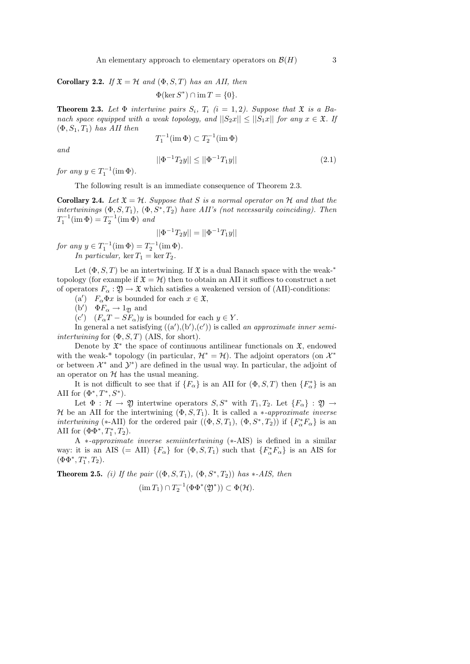An elementary approach to elementary operators on  $\mathcal{B}(H)$  3

Corollary 2.2. If  $\mathfrak{X} = \mathcal{H}$  and  $(\Phi, S, T)$  has an AII, then

$$
\Phi(\ker S^*) \cap \operatorname{im} T = \{0\}.
$$

**Theorem 2.3.** Let  $\Phi$  intertwine pairs  $S_i$ ,  $T_i$  (i = 1, 2). Suppose that  $\mathfrak{X}$  is a Banach space equipped with a weak topology, and  $||S_2x|| \le ||S_1x||$  for any  $x \in \mathfrak{X}$ . If  $(\Phi, S_1, T_1)$  has AII then

$$
T_1^{-1}(\operatorname{im}\Phi)\subset T_2^{-1}(\operatorname{im}\Phi)
$$

and

$$
||\Phi^{-1}T_2y|| \le ||\Phi^{-1}T_1y|| \tag{2.1}
$$

for any  $y \in T_1^{-1}(\text{im }\Phi)$ .

The following result is an immediate consequence of Theorem 2.3.

**Corollary 2.4.** Let  $\mathfrak{X} = \mathcal{H}$ . Suppose that S is a normal operator on H and that the intertwinings  $(\Phi, S, T_1)$ ,  $(\Phi, S^*, T_2)$  have AII's (not necessarily coinciding). Then  $T_1^{-1}(\text{im }\Phi) = T_2^{-1}(\text{im }\Phi)$  and

$$
||\Phi^{-1}T_2y|| = ||\Phi^{-1}T_1y||
$$

for any  $y \in T_1^{-1}(\text{im }\Phi) = T_2^{-1}(\text{im }\Phi)$ .

In particular, ker  $T_1 = \ker T_2$ .

Let  $(\Phi, S, T)$  be an intertwining. If  $\mathfrak X$  is a dual Banach space with the weak-<sup>\*</sup> topology (for example if  $\mathfrak{X} = \mathcal{H}$ ) then to obtain an AII it suffices to construct a net of operators  $F_{\alpha} : \mathfrak{Y} \to \mathfrak{X}$  which satisfies a weakened version of (AII)-conditions:

(a')  $F_{\alpha}\Phi x$  is bounded for each  $x \in \mathfrak{X}$ ,

(b')  $\Phi F_{\alpha} \to 1_{\mathfrak{Y}}$  and

(c')  $(F_{\alpha}T - SF_{\alpha})y$  is bounded for each  $y \in Y$ .

In general a net satisfying  $((a'), (b'), (c'))$  is called an approximate inner semiintertwining for  $(\Phi, S, T)$  (AIS, for short).

Denote by  $\mathfrak{X}^*$  the space of continuous antilinear functionals on  $\mathfrak{X}$ , endowed with the weak-<sup>\*</sup> topology (in particular,  $\mathcal{H}^* = \mathcal{H}$ ). The adjoint operators (on  $\mathcal{X}^*$ or between  $\mathcal{X}^*$  and  $\mathcal{Y}^*$ ) are defined in the usual way. In particular, the adjoint of an operator on  $H$  has the usual meaning.

It is not difficult to see that if  $\{F_{\alpha}\}\$ is an AII for  $(\Phi, S, T)$  then  $\{F_{\alpha}^*\}$  is an AII for  $(\Phi^*, T^*, S^*)$ .

Let  $\Phi : \mathcal{H} \to \mathfrak{Y}$  intertwine operators  $S, S^*$  with  $T_1, T_2$ . Let  $\{F_\alpha\} : \mathfrak{Y} \to$ H be an AII for the intertwining  $(\Phi, S, T_1)$ . It is called a *\*-approximate inverse intertwining* (\*-AII) for the ordered pair  $((\Phi, S, T_1), (\Phi, S^*, T_2))$  if  $\{F_\alpha^* F_\alpha\}$  is an AII for  $(\Phi \Phi^*, T_1^*, T_2)$ .

A ∗-approximate inverse semiintertwining (∗-AIS) is defined in a similar way: it is an AIS (= AII)  ${F_\alpha}$  for  $(\Phi, S, T_1)$  such that  ${F_\alpha^*}F_\alpha$  is an AIS for  $(\Phi\Phi^*,T_1^*,T_2).$ 

**Theorem 2.5.** (i) If the pair  $((\Phi, S, T_1), (\Phi, S^*, T_2))$  has \*-AIS, then  $(\operatorname{im} T_1) \cap T_2^{-1}(\Phi \Phi^*(\mathfrak{Y}^*)) \subset \Phi(\mathcal{H}).$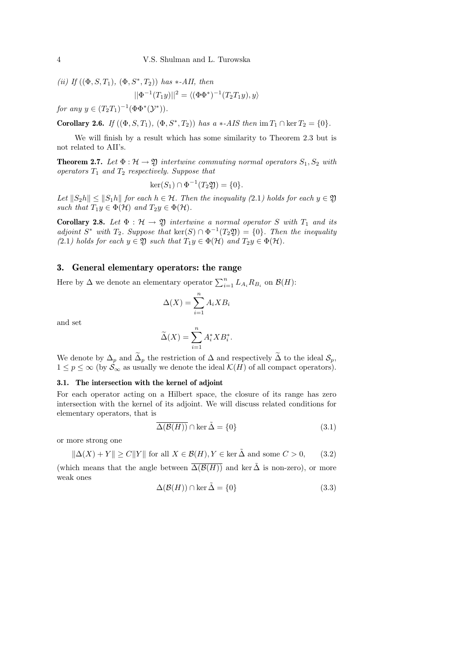(*ii*) If 
$$
((\Phi, S, T_1), (\Phi, S^*, T_2))
$$
 has \*-*AII*, then  

$$
||\Phi^{-1}(T_1y)||^2 = \langle (\Phi\Phi^*)^{-1}(T_2T_1y), y \rangle
$$

for any  $y \in (T_2T_1)^{-1}(\Phi \Phi^*(\mathcal{Y}^*)).$ 

**Corollary 2.6.** If  $((\Phi, S, T_1), (\Phi, S^*, T_2))$  has a \*-AIS then  $\text{im } T_1 \cap \ker T_2 = \{0\}.$ 

We will finish by a result which has some similarity to Theorem 2.3 but is not related to AII's.

**Theorem 2.7.** Let  $\Phi : \mathcal{H} \to \mathfrak{Y}$  intertwine commuting normal operators  $S_1, S_2$  with operators  $T_1$  and  $T_2$  respectively. Suppose that

$$
\ker(S_1) \cap \Phi^{-1}(T_2\mathfrak{Y}) = \{0\}.
$$

Let  $||S_2h|| \le ||S_1h||$  for each  $h \in \mathcal{H}$ . Then the inequality (2.1) holds for each  $y \in \mathfrak{Y}$ such that  $T_1y \in \Phi(\mathcal{H})$  and  $T_2y \in \Phi(\mathcal{H})$ .

Corollary 2.8. Let  $\Phi : \mathcal{H} \to \mathfrak{Y}$  intertwine a normal operator S with  $T_1$  and its adjoint  $S^*$  with  $T_2$ . Suppose that  $\text{ker}(S) \cap \Phi^{-1}(T_2 \mathfrak{Y}) = \{0\}$ . Then the inequality (2.1) holds for each  $y \in \mathfrak{Y}$  such that  $T_1y \in \Phi(\mathcal{H})$  and  $T_2y \in \Phi(\mathcal{H})$ .

### 3. General elementary operators: the range

Here by  $\Delta$  we denote an elementary operator  $\sum_{i=1}^{n} L_{A_i} R_{B_i}$  on  $\mathcal{B}(H)$ :

$$
\Delta(X) = \sum_{i=1}^{n} A_i X B_i
$$

and set

$$
\widetilde{\Delta}(X) = \sum_{i=1}^{n} A_i^* X B_i^*.
$$

We denote by  $\Delta_p$  and  $\tilde{\Delta}_p$  the restriction of  $\Delta$  and respectively  $\tilde{\Delta}$  to the ideal  $\mathcal{S}_p$ ,  $1 \le p \le \infty$  (by  $S_{\infty}$  as usually we denote the ideal  $\mathcal{K}(H)$  of all compact operators).

## 3.1. The intersection with the kernel of adjoint

For each operator acting on a Hilbert space, the closure of its range has zero intersection with the kernel of its adjoint. We will discuss related conditions for elementary operators, that is

$$
\overline{\Delta(\mathcal{B}(H))} \cap \ker \tilde{\Delta} = \{0\}
$$
\n(3.1)

or more strong one

$$
\|\Delta(X) + Y\| \ge C\|Y\| \text{ for all } X \in \mathcal{B}(H), Y \in \ker \tilde{\Delta} \text{ and some } C > 0,
$$
 (3.2)

(which means that the angle between  $\overline{\Delta(\mathcal{B}(H))}$  and ker  $\tilde{\Delta}$  is non-zero), or more weak ones

$$
\Delta(\mathcal{B}(H)) \cap \ker \tilde{\Delta} = \{0\}
$$
\n(3.3)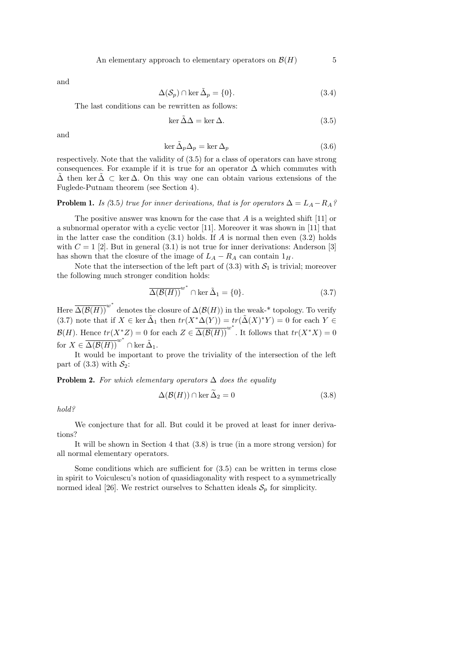and

$$
\Delta(\mathcal{S}_p) \cap \ker \tilde{\Delta}_p = \{0\}.
$$
\n(3.4)

The last conditions can be rewritten as follows:

$$
\ker \tilde{\Delta}\Delta = \ker \Delta. \tag{3.5}
$$

and

$$
\ker \tilde{\Delta}_p \Delta_p = \ker \Delta_p \tag{3.6}
$$

respectively. Note that the validity of (3.5) for a class of operators can have strong consequences. For example if it is true for an operator  $\Delta$  which commutes with  $\Delta$  then ker  $\Delta \subset \text{ker } \Delta$ . On this way one can obtain various extensions of the Fuglede-Putnam theorem (see Section 4).

**Problem 1.** Is (3.5) true for inner derivations, that is for operators  $\Delta = L_A - R_A$ ?

The positive answer was known for the case that  $A$  is a weighted shift [11] or a subnormal operator with a cyclic vector [11]. Moreover it was shown in [11] that in the latter case the condition  $(3.1)$  holds. If A is normal then even  $(3.2)$  holds with  $C = 1$  [2]. But in general (3.1) is not true for inner derivations: Anderson [3] has shown that the closure of the image of  $L_A - R_A$  can contain  $1_H$ .

Note that the intersection of the left part of  $(3.3)$  with  $S_1$  is trivial; moreover the following much stronger condition holds:

$$
\overline{\Delta(\mathcal{B}(H))}^{w^*} \cap \ker \tilde{\Delta}_1 = \{0\}.
$$
 (3.7)

Here  $\overline{\Delta(\mathcal{B}(H))}^{w^*}$  denotes the closure of  $\Delta(\mathcal{B}(H))$  in the weak-\* topology. To verify (3.7) note that if  $X \in \text{ker } \tilde{\Delta}_1$  then  $tr(X^*\Delta(Y)) = tr(\tilde{\Delta}(X)^*Y) = 0$  for each  $Y \in$  $\mathcal{B}(H)$ . Hence  $tr(X^*Z) = 0$  for each  $Z \in \overline{\Delta(\mathcal{B}(H))}^{w^*}$ . It follows that  $tr(X^*X) = 0$ for  $X \in \overline{\Delta(\mathcal{B}(H))}^{w^*} \cap \ker \tilde{\Delta}_1$ .

It would be important to prove the triviality of the intersection of the left part of (3.3) with  $S_2$ :

**Problem 2.** For which elementary operators  $\Delta$  does the equality

$$
\Delta(\mathcal{B}(H)) \cap \ker \widetilde{\Delta}_2 = 0 \tag{3.8}
$$

hold?

We conjecture that for all. But could it be proved at least for inner derivations?

It will be shown in Section 4 that (3.8) is true (in a more strong version) for all normal elementary operators.

Some conditions which are sufficient for (3.5) can be written in terms close in spirit to Voiculescu's notion of quasidiagonality with respect to a symmetrically normed ideal [26]. We restrict ourselves to Schatten ideals  $S_p$  for simplicity.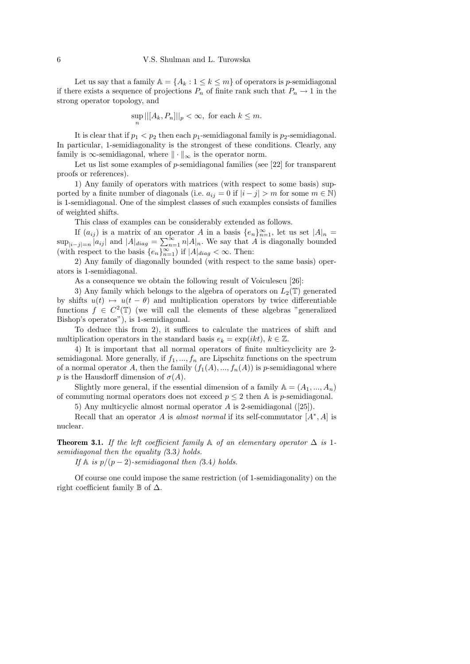Let us say that a family  $\mathbb{A} = \{A_k : 1 \leq k \leq m\}$  of operators is p-semidiagonal if there exists a sequence of projections  $P_n$  of finite rank such that  $P_n \to 1$  in the strong operator topology, and

$$
\sup ||[A_k, P_n]||_p < \infty, \text{ for each } k \le m.
$$

n

It is clear that if  $p_1 < p_2$  then each  $p_1$ -semidiagonal family is  $p_2$ -semidiagonal. In particular, 1-semidiagonality is the strongest of these conditions. Clearly, any family is  $\infty$ -semidiagonal, where  $\|\cdot\|_{\infty}$  is the operator norm.

Let us list some examples of p-semidiagonal families (see [22] for transparent proofs or references).

1) Any family of operators with matrices (with respect to some basis) supported by a finite number of diagonals (i.e.  $a_{ij} = 0$  if  $|i - j| > m$  for some  $m \in \mathbb{N}$ ) is 1-semidiagonal. One of the simplest classes of such examples consists of families of weighted shifts.

This class of examples can be considerably extended as follows.

If  $(a_{ij})$  is a matrix of an operator A in a basis  $\{e_n\}_{n=1}^{\infty}$ , let us set  $|A|_n =$  $\sup_{|i-j|=n}|a_{ij}|$  and  $|A|_{diag}=\sum_{n=1}^{\infty}n|A|_n$ . We say that A is diagonally bounded (with respect to the basis  $\{e_n\}_{n=1}^{\infty}$ ) if  $|A|_{diag} < \infty$ . Then:

2) Any family of diagonally bounded (with respect to the same basis) operators is 1-semidiagonal.

As a consequence we obtain the following result of Voiculescu [26]:

3) Any family which belongs to the algebra of operators on  $L_2(\mathbb{T})$  generated by shifts  $u(t) \mapsto u(t - \theta)$  and multiplication operators by twice differentiable functions  $f \in C^2(\mathbb{T})$  (we will call the elements of these algebras "generalized Bishop's operatos"), is 1-semidiagonal.

To deduce this from 2), it suffices to calculate the matrices of shift and multiplication operators in the standard basis  $e_k = \exp(ikt)$ ,  $k \in \mathbb{Z}$ .

4) It is important that all normal operators of finite multicyclicity are 2 semidiagonal. More generally, if  $f_1, ..., f_n$  are Lipschitz functions on the spectrum of a normal operator A, then the family  $(f_1(A),..., f_n(A))$  is p-semidiagonal where p is the Hausdorff dimension of  $\sigma(A)$ .

Slightly more general, if the essential dimension of a family  $A = (A_1, ..., A_n)$ of commuting normal operators does not exceed  $p \leq 2$  then A is p-semidiagonal.

5) Any multicyclic almost normal operator A is 2-semidiagonal ([25]).

Recall that an operator A is *almost normal* if its self-commutator  $[A^*, A]$  is nuclear.

**Theorem 3.1.** If the left coefficient family  $\mathbb A$  of an elementary operator  $\Delta$  is 1semidiagonal then the equality  $(3.3)$  holds.

If  $\mathbb A$  is  $p/(p-2)$ -semidiagonal then (3.4) holds.

Of course one could impose the same restriction (of 1-semidiagonality) on the right coefficient family  $\mathbb B$  of  $\Delta$ .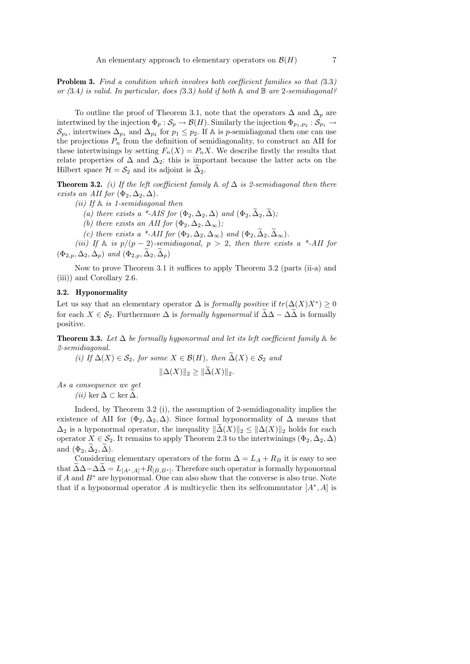Problem 3. Find a condition which involves both coefficient families so that  $(3.3)$ or  $(3.4)$  is valid. In particular, does  $(3.3)$  hold if both A and B are 2-semidiagonal?

To outline the proof of Theorem 3.1, note that the operators  $\Delta$  and  $\Delta_p$  are intertwined by the injection  $\Phi_p: \mathcal{S}_p \to \mathcal{B}(H)$ . Similarly the injection  $\Phi_{p_1,p_2}: \mathcal{S}_{p_1} \to$  $\mathcal{S}_{p_2}$ , intertwines  $\Delta_{p_1}$  and  $\Delta_{p_2}$  for  $p_1 \leq p_2$ . If A is p-semidiagonal then one can use the projections  $P_n$  from the definition of semidiagonality, to construct an AII for these intertwinings by setting  $F_n(X) = P_n X$ . We describe firstly the results that relate properties of  $\Delta$  and  $\Delta_2$ : this is important because the latter acts on the Hilbert space  $\mathcal{H} = \mathcal{S}_2$  and its adjoint is  $\Delta_2$ .

**Theorem 3.2.** (i) If the left coefficient family  $\mathbb{A}$  of  $\Delta$  is 2-semidiagonal then there exists an AII for  $(\Phi_2, \Delta_2, \Delta)$ .

- (*ii*) If  $\mathbb A$  is 1-semidiagonal then
	- (a) there exists a \*-AIS for  $(\Phi_2, \Delta_2, \Delta)$  and  $(\Phi_2, \widetilde{\Delta}_2, \widetilde{\Delta})$ ;
	- (b) there exists an AII for  $(\Phi_2, \Delta_2, \Delta_\infty)$ ;
	- (c) there exists a \*-AII for  $(\Phi_2, \Delta_2, \Delta_\infty)$  and  $(\Phi_2, \widetilde{\Delta}_2, \widetilde{\Delta}_\infty)$ .

(iii) If  $\mathbb A$  is  $p/(p-2)$ -semidiagonal,  $p > 2$ , then there exists a \*-AII for  $(\Phi_{2,p}, \Delta_2, \Delta_p)$  and  $(\Phi_{2,p}, \tilde{\Delta}_2, \tilde{\Delta}_p)$ 

Now to prove Theorem 3.1 it suffices to apply Theorem 3.2 (parts (ii-a) and (iii)) and Corollary 2.6.

#### 3.2. Hyponormality

Let us say that an elementary operator  $\Delta$  is *formally positive* if  $tr(\Delta(X)X^*) \geq 0$ for each  $X \in \mathcal{S}_2$ . Furthermore  $\Delta$  is *formally hyponormal* if  $\tilde{\Delta}\Delta - \Delta\tilde{\Delta}$  is formally positive.

**Theorem 3.3.** Let  $\Delta$  be formally hyponormal and let its left coefficient family  $\mathbb A$  be 2-semidiagonal.

(i) If  $\Delta(X) \in \mathcal{S}_2$ , for some  $X \in \mathcal{B}(H)$ , then  $\widetilde{\Delta}(X) \in \mathcal{S}_2$  and

$$
\|\Delta(X)\|_2 \ge \|\Delta(X)\|_2.
$$

As a consequence we get (ii) ker  $\Delta \subset \ker \widetilde{\Delta}$ .

Indeed, by Theorem 3.2 (i), the assumption of 2-semidiagonality implies the existence of AII for  $(\Phi_2, \Delta_2, \Delta)$ . Since formal hyponormality of  $\Delta$  means that  $\Delta_2$  is a hyponormal operator, the inequality  $\|\tilde{\Delta}(X)\|_2 \leq \|\Delta(X)\|_2$  holds for each operator  $X \in \mathcal{S}_2$ . It remains to apply Theorem 2.3 to the intertwinings  $(\Phi_2, \Delta_2, \Delta)$ and  $(\Phi_2, \widetilde{\Delta}_2, \widetilde{\Delta})$ .

Considering elementary operators of the form  $\Delta = L_A + R_B$  it is easy to see that  $\Delta \Delta - \Delta \Delta = L_{[A^*,A]} + R_{[B,B^*]}$ . Therefore such operator is formally hyponormal if A and  $B^*$  are hyponormal. One can also show that the converse is also true. Note that if a hyponormal operator A is multicyclic then its selfcommutator  $[A^*, A]$  is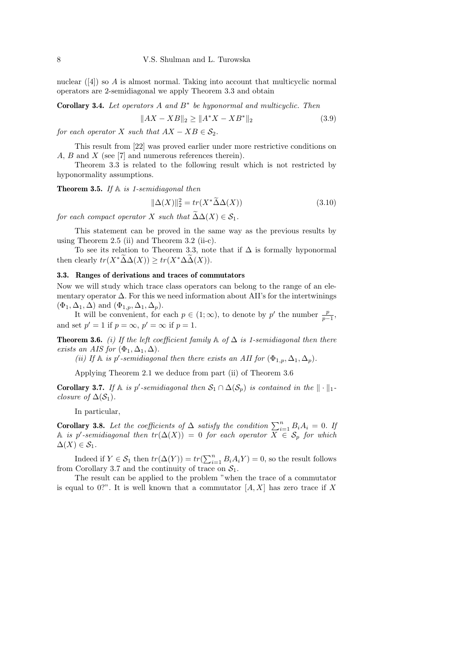nuclear ([4]) so A is almost normal. Taking into account that multicyclic normal operators are 2-semidiagonal we apply Theorem 3.3 and obtain

Corollary 3.4. Let operators  $A$  and  $B^*$  be hyponormal and multicyclic. Then

$$
||AX - XB||_2 \ge ||A^*X - XB^*||_2 \tag{3.9}
$$

for each operator X such that  $AX - XB \in \mathcal{S}_2$ .

This result from [22] was proved earlier under more restrictive conditions on A, B and X (see [7] and numerous references therein).

Theorem 3.3 is related to the following result which is not restricted by hyponormality assumptions.

**Theorem 3.5.** If  $A$  is 1-semidiagonal then

$$
\|\Delta(X)\|_2^2 = tr(X^*\tilde{\Delta}\Delta(X))\tag{3.10}
$$

for each compact operator X such that  $\widetilde{\Delta}\Delta(X) \in \mathcal{S}_1$ .

This statement can be proved in the same way as the previous results by using Theorem 2.5 (ii) and Theorem 3.2 (ii-c).

To see its relation to Theorem 3.3, note that if  $\Delta$  is formally hyponormal then clearly  $tr(X^*\widetilde{\Delta}\Delta(X)) \geq tr(X^*\Delta\widetilde{\Delta}(X)).$ 

#### 3.3. Ranges of derivations and traces of commutators

Now we will study which trace class operators can belong to the range of an elementary operator  $\Delta$ . For this we need information about AII's for the intertwinings  $(\Phi_1, \Delta_1, \Delta)$  and  $(\Phi_{1,p}, \Delta_1, \Delta_p)$ .

It will be convenient, for each  $p \in (1, \infty)$ , to denote by p' the number  $\frac{p}{p-1}$ , and set  $p' = 1$  if  $p = \infty$ ,  $p' = \infty$  if  $p = 1$ .

**Theorem 3.6.** (i) If the left coefficient family  $\mathbb{A}$  of  $\Delta$  is 1-semidiagonal then there exists an AIS for  $(\Phi_1, \Delta_1, \Delta)$ .

(ii) If  $\mathbb A$  is p'-semidiagonal then there exists an AII for  $(\Phi_{1,p}, \Delta_1, \Delta_p)$ .

Applying Theorem 2.1 we deduce from part (ii) of Theorem 3.6

**Corollary 3.7.** If  $\mathbb A$  is p'-semidiagonal then  $\mathcal{S}_1 \cap \Delta(\mathcal{S}_p)$  is contained in the  $\|\cdot\|_1$ closure of  $\Delta(\mathcal{S}_1)$ .

In particular,

**Corollary 3.8.** Let the coefficients of  $\Delta$  satisfy the condition  $\sum_{i=1}^{n} B_i A_i = 0$ . If A is p'-semidiagonal then  $tr(\Delta(X)) = 0$  for each operator  $\overline{X} \in \mathcal{S}_p$  for which  $\Delta(X) \in \mathcal{S}_1$ .

Indeed if  $Y \in \mathcal{S}_1$  then  $tr(\Delta(Y)) = tr(\sum_{i=1}^n B_i A_i Y) = 0$ , so the result follows from Corollary 3.7 and the continuity of trace on  $S_1$ .

The result can be applied to the problem "when the trace of a commutator is equal to 0?". It is well known that a commutator  $[A, X]$  has zero trace if X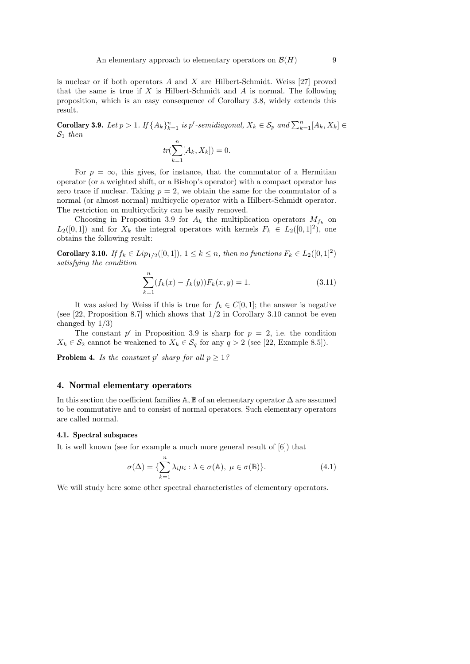is nuclear or if both operators  $A$  and  $X$  are Hilbert-Schmidt. Weiss [27] proved that the same is true if  $X$  is Hilbert-Schmidt and  $A$  is normal. The following proposition, which is an easy consequence of Corollary 3.8, widely extends this result.

**Corollary 3.9.** Let  $p > 1$ . If  $\{A_k\}_{k=1}^n$  is  $p'$ -semidiagonal,  $X_k \in S_p$  and  $\sum_{k=1}^n [A_k, X_k] \in$  $S_1$  then

$$
tr(\sum_{k=1}^{n} [A_k, X_k]) = 0.
$$

For  $p = \infty$ , this gives, for instance, that the commutator of a Hermitian operator (or a weighted shift, or a Bishop's operator) with a compact operator has zero trace if nuclear. Taking  $p = 2$ , we obtain the same for the commutator of a normal (or almost normal) multicyclic operator with a Hilbert-Schmidt operator. The restriction on multicyclicity can be easily removed.

Choosing in Proposition 3.9 for  $A_k$  the multiplication operators  $M_{f_k}$  on  $L_2([0,1])$  and for  $X_k$  the integral operators with kernels  $F_k \in L_2([0,1]^2)$ , one obtains the following result:

**Corollary 3.10.** If  $f_k \in Lip_{1/2}([0,1])$ ,  $1 \leq k \leq n$ , then no functions  $F_k \in L_2([0,1]^2)$ satisfying the condition

$$
\sum_{k=1}^{n} (f_k(x) - f_k(y)) F_k(x, y) = 1.
$$
\n(3.11)

It was asked by Weiss if this is true for  $f_k \in C[0,1]$ ; the answer is negative (see [22, Proposition 8.7] which shows that 1/2 in Corollary 3.10 cannot be even changed by  $1/3$ )

The constant  $p'$  in Proposition 3.9 is sharp for  $p = 2$ , i.e. the condition  $X_k \in \mathcal{S}_2$  cannot be weakened to  $X_k \in \mathcal{S}_q$  for any  $q > 2$  (see [22, Example 8.5]).

**Problem 4.** Is the constant p' sharp for all  $p \geq 1$ ?

#### 4. Normal elementary operators

In this section the coefficient families  $\mathbb{A},\mathbb{B}$  of an elementary operator  $\Delta$  are assumed to be commutative and to consist of normal operators. Such elementary operators are called normal.

#### 4.1. Spectral subspaces

It is well known (see for example a much more general result of [6]) that

$$
\sigma(\Delta) = \{ \sum_{k=1}^{n} \lambda_i \mu_i : \lambda \in \sigma(\mathbb{A}), \ \mu \in \sigma(\mathbb{B}) \}. \tag{4.1}
$$

We will study here some other spectral characteristics of elementary operators.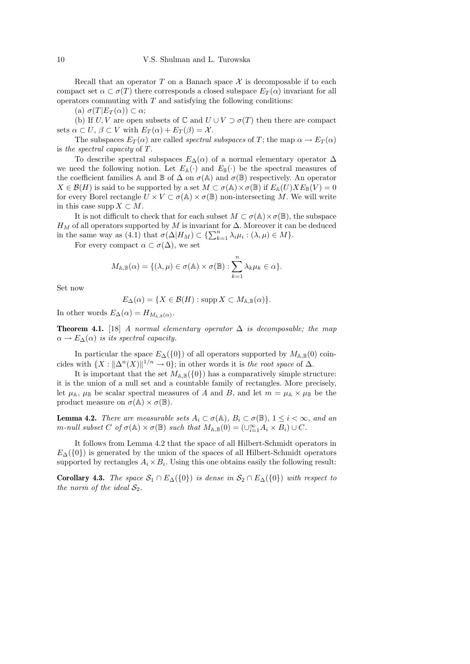Recall that an operator T on a Banach space  $\mathcal X$  is decomposable if to each compact set  $\alpha \subset \sigma(T)$  there corresponds a closed subspace  $E_T(\alpha)$  invariant for all operators commuting with  $T$  and satisfying the following conditions:

(a)  $\sigma(T|E_T(\alpha)) \subset \alpha;$ 

(b) If U, V are open subsets of  $\mathbb C$  and  $U \cup V \supset \sigma(T)$  then there are compact sets  $\alpha \subset U$ ,  $\beta \subset V$  with  $E_T(\alpha) + E_T(\beta) = \mathcal{X}$ .

The subspaces  $E_T(\alpha)$  are called *spectral subspaces* of T; the map  $\alpha \to E_T(\alpha)$ is the spectral capacity of T.

To describe spectral subspaces  $E_{\Delta}(\alpha)$  of a normal elementary operator  $\Delta$ we need the following notion. Let  $E_{\mathbb{A}}(\cdot)$  and  $E_{\mathbb{B}}(\cdot)$  be the spectral measures of the coefficient families A and B of  $\Delta$  on  $\sigma(\mathbb{A})$  and  $\sigma(\mathbb{B})$  respectively. An operator  $X \in \mathcal{B}(H)$  is said to be supported by a set  $M \subset \sigma(\mathbb{A}) \times \sigma(\mathbb{B})$  if  $E_{\mathbb{A}}(U) X E_{\mathbb{B}}(V) = 0$ for every Borel rectangle  $U \times V \subset \sigma(\mathbb{A}) \times \sigma(\mathbb{B})$  non-intersecting M. We will write in this case supp  $X \subset M$ .

It is not difficult to check that for each subset  $M \subset \sigma(\mathbb{A}) \times \sigma(\mathbb{B})$ , the subspace  $H_M$  of all operators supported by M is invariant for  $\Delta$ . Moreover it can be deduced in the same way as (4.1) that  $\sigma(\Delta|H_M) \subset \{\sum_{k=1}^n \lambda_i \mu_i : (\lambda, \mu) \in M\}.$ 

For every compact  $\alpha \subset \sigma(\Delta)$ , we set

$$
M_{\mathbb{A},\mathbb{B}}(\alpha) = \{(\lambda,\mu) \in \sigma(\mathbb{A}) \times \sigma(\mathbb{B}) : \sum_{k=1}^{n} \lambda_k \mu_k \in \alpha \}.
$$

Set now

$$
E_{\Delta}(\alpha) = \{ X \in \mathcal{B}(H) : \operatorname{supp} X \subset M_{\mathbb{A}, \mathbb{B}}(\alpha) \}.
$$

In other words  $E_{\Delta}(\alpha) = H_{M_{\mathbb{A},\mathbb{B}}(\alpha)}$ .

**Theorem 4.1.** [18] A normal elementary operator  $\Delta$  is decomposable; the map  $\alpha \to E_{\Delta}(\alpha)$  is its spectral capacity.

In particular the space  $E_{\Delta}(\{0\})$  of all operators supported by  $M_{\mathbb{A},\mathbb{B}}(0)$  coincides with  $\{X: ||\Delta^n(X)||^{1/n} \to 0\}$ ; in other words it is the root space of  $\Delta$ .

It is important that the set  $M_{\mathbb{A},\mathbb{B}}(\{0\})$  has a comparatively simple structure: it is the union of a null set and a countable family of rectangles. More precisely, let  $\mu_{\mathbb{A}}, \mu_{\mathbb{B}}$  be scalar spectral measures of A and B, and let  $m = \mu_{\mathbb{A}} \times \mu_{\mathbb{B}}$  be the product measure on  $\sigma(\mathbb{A}) \times \sigma(\mathbb{B})$ .

**Lemma 4.2.** There are measurable sets  $A_i \subset \sigma(A)$ ,  $B_i \subset \sigma(\mathbb{B})$ ,  $1 \leq i < \infty$ , and an m-null subset C of  $\sigma(\mathbb{A}) \times \sigma(\mathbb{B})$  such that  $M_{\mathbb{A},\mathbb{B}}(0) = (\cup_{i=1}^{\infty} A_i \times B_i) \cup C$ .

It follows from Lemma 4.2 that the space of all Hilbert-Schmidt operators in  $E_{\Delta}(\{0\})$  is generated by the union of the spaces of all Hilbert-Schmidt operators supported by rectangles  $A_i \times B_i$ . Using this one obtains easily the following result:

**Corollary 4.3.** The space  $S_1 \cap E_{\Delta}(\{0\})$  is dense in  $S_2 \cap E_{\Delta}(\{0\})$  with respect to the norm of the ideal  $S_2$ .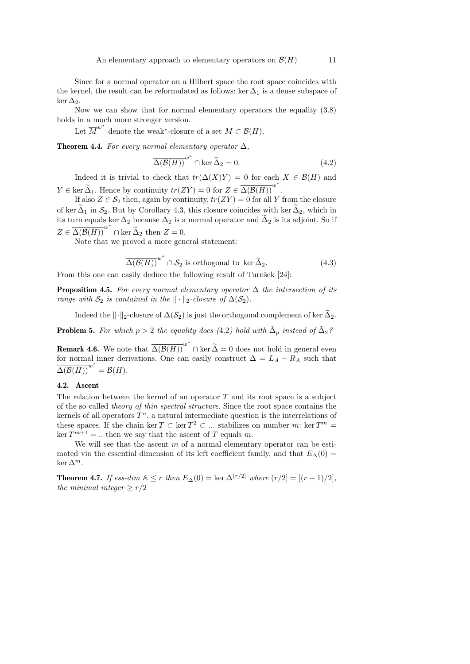Since for a normal operator on a Hilbert space the root space coincides with the kernel, the result can be reformulated as follows: ker  $\Delta_1$  is a dense subspace of ker  $\Delta_2$ .

Now we can show that for normal elementary operators the equality (3.8) holds in a much more stronger version.

Let  $\overline{M}^{w^*}$  denote the weak<sup>\*</sup>-closure of a set  $M \subset \mathcal{B}(H)$ .

**Theorem 4.4.** For every normal elementary operator  $\Delta$ ,

$$
\overline{\Delta(\mathcal{B}(H))}^{w^*} \cap \ker \widetilde{\Delta}_2 = 0.
$$
 (4.2)

Indeed it is trivial to check that  $tr(\Delta(X)Y) = 0$  for each  $X \in \mathcal{B}(H)$  and  $Y \in \text{ker } \widetilde{\Delta}_1$ . Hence by continuity  $tr(ZY) = 0$  for  $Z \in \overline{\Delta(\mathcal{B}(H))}^{w^*}$ .

If also  $Z \in \mathcal{S}_2$  then, again by continuity,  $tr(ZY) = 0$  for all Y from the closure of ker  $\Delta_1$  in  $S_2$ . But by Corollary 4.3, this closure coincides with ker  $\Delta_2$ , which in its turn equals ker  $\Delta_2$  because  $\Delta_2$  is a normal operator and  $\widetilde{\Delta}_2$  is its adjoint. So if  $Z \in \overline{\Delta(\mathcal{B}(H))}^{w^*} \cap \text{ker } \widetilde{\Delta}_2$  then  $Z = 0$ .

Note that we proved a more general statement:

$$
\overline{\Delta(\mathcal{B}(H))}^{w^*} \cap \mathcal{S}_2 \text{ is orthogonal to } \ker \widetilde{\Delta}_2. \tag{4.3}
$$

From this one can easily deduce the following result of Turnšek [24]:

**Proposition 4.5.** For every normal elementary operator  $\Delta$  the intersection of its range with  $S_2$  is contained in the  $\|\cdot\|_2$ -closure of  $\Delta(S_2)$ .

Indeed the  $\|\cdot\|_2$ -closure of  $\Delta(\mathcal{S}_2)$  is just the orthogonal complement of ker  $\tilde{\Delta}_2$ .

**Problem 5.** For which  $p > 2$  the equality does (4.2) hold with  $\tilde{\Delta}_p$  instead of  $\tilde{\Delta}_2$ ?

**Remark 4.6.** We note that  $\overline{\Delta(\mathcal{B}(H))}^{w^*} \cap \text{ker } \widetilde{\Delta} = 0$  does not hold in general even for normal inner derivations. One can easily construct  $\Delta = L_A - R_A$  such that  $\overline{\Delta(\mathcal{B}(H))}^{w^*} = \mathcal{B}(H).$ 

## 4.2. Ascent

The relation between the kernel of an operator  $T$  and its root space is a subject of the so called theory of thin spectral structure. Since the root space contains the kernels of all operators  $T^n$ , a natural intermediate question is the interrelations of these spaces. If the chain ker  $T \subset \text{ker } T^2 \subset \dots$  stabilizes on number m: ker  $T^m =$  $\ker T^{m+1} = ...$  then we say that the ascent of T equals m.

We will see that the ascent  $m$  of a normal elementary operator can be estimated via the essential dimension of its left coefficient family, and that  $E_{\Delta}(0)$  = ker  $\Delta^m$ .

**Theorem 4.7.** If ess-dim  $A \leq r$  then  $E_{\Delta}(0) = \ker \Delta^{(r/2)}$  where  $(r/2) = [(r+1)/2]$ , the minimal integer  $\geq r/2$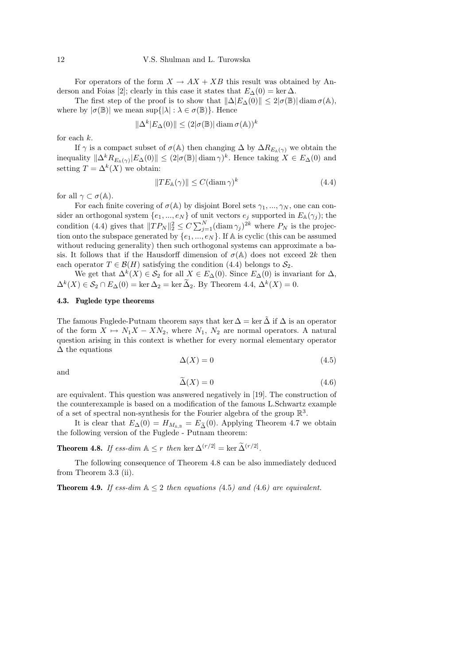For operators of the form  $X \to AX + XB$  this result was obtained by Anderson and Foias [2]; clearly in this case it states that  $E_{\Delta}(0) = \ker \Delta$ .

The first step of the proof is to show that  $\|\Delta|E_{\Delta}(0)\| \leq 2|\sigma(\mathbb{B})| \operatorname{diam} \sigma(\mathbb{A}),$ where by  $|\sigma(\mathbb{B})|$  we mean sup $\{|\lambda| : \lambda \in \sigma(\mathbb{B})\}$ . Hence

$$
\Delta^k |E_{\Delta}(0)| \le (2|\sigma(\mathbb{B})| \operatorname{diam} \sigma(\mathbb{A}))^k
$$

 $\Vert$ 

for each  $k$ .

If  $\gamma$  is a compact subset of  $\sigma(A)$  then changing  $\Delta$  by  $\Delta R_{E_A(\gamma)}$  we obtain the inequality  $\|\Delta^k R_{E_\mathbb{A}(\gamma)}|E_\Delta(0)\| \leq (2|\sigma(\mathbb{B})| \operatorname{diam}\gamma)^k$ . Hence taking  $X \in E_\Delta(0)$  and setting  $T = \Delta^k(X)$  we obtain:

$$
||TE_{\mathbb{A}}(\gamma)|| \le C(\text{diam}\,\gamma)^k \tag{4.4}
$$

for all  $\gamma \subset \sigma(\mathbb{A})$ .

For each finite covering of  $\sigma(A)$  by disjoint Borel sets  $\gamma_1, ..., \gamma_N$ , one can consider an orthogonal system  $\{e_1, ..., e_N\}$  of unit vectors  $e_j$  supported in  $E_{\mathbb{A}}(\gamma_j)$ ; the condition (4.4) gives that  $||TP_N||_2^2 \le C \sum_{j=1}^N (\text{diam } \gamma_j)^{2k}$  where  $P_N$  is the projection onto the subspace generated by  $\{e_1, ..., e_N\}$ . If A is cyclic (this can be assumed without reducing generality) then such orthogonal systems can approximate a basis. It follows that if the Hausdorff dimension of  $\sigma(A)$  does not exceed 2k then each operator  $T \in \mathcal{B}(H)$  satisfying the condition (4.4) belongs to  $\mathcal{S}_2$ .

We get that  $\Delta^k(X) \in \mathcal{S}_2$  for all  $X \in E_{\Delta}(0)$ . Since  $E_{\Delta}(0)$  is invariant for  $\Delta$ ,  $\Delta^k(X) \in \mathcal{S}_2 \cap E_{\Delta}(0) = \ker \Delta_2 = \ker \Delta_2$ . By Theorem 4.4,  $\Delta^k(X) = 0$ .

#### 4.3. Fuglede type theorems

The famous Fuglede-Putnam theorem says that ker  $\Delta = \ker \tilde{\Delta}$  if  $\Delta$  is an operator of the form  $X \mapsto N_1X - XN_2$ , where  $N_1$ ,  $N_2$  are normal operators. A natural question arising in this context is whether for every normal elementary operator  $\Delta$  the equations

$$
\Delta(X) = 0 \tag{4.5}
$$

and

$$
\tilde{\Delta}(X) = 0 \tag{4.6}
$$

are equivalent. This question was answered negatively in [19]. The construction of the counterexample is based on a modification of the famous L.Schwartz example of a set of spectral non-synthesis for the Fourier algebra of the group  $\mathbb{R}^3$ .

It is clear that  $E_{\Delta}(0) = H_{M_{A,B}} = E_{\tilde{\Lambda}}(0)$ . Applying Theorem 4.7 we obtain the following version of the Fuglede - Putnam theorem:

**Theorem 4.8.** If ess-dim  $A \leq r$  then ker  $\Delta^{(r/2)} = \ker \widetilde{\Delta}^{(r/2)}$ .

The following consequence of Theorem 4.8 can be also immediately deduced from Theorem 3.3 (ii).

**Theorem 4.9.** If ess-dim  $A \leq 2$  then equations (4.5) and (4.6) are equivalent.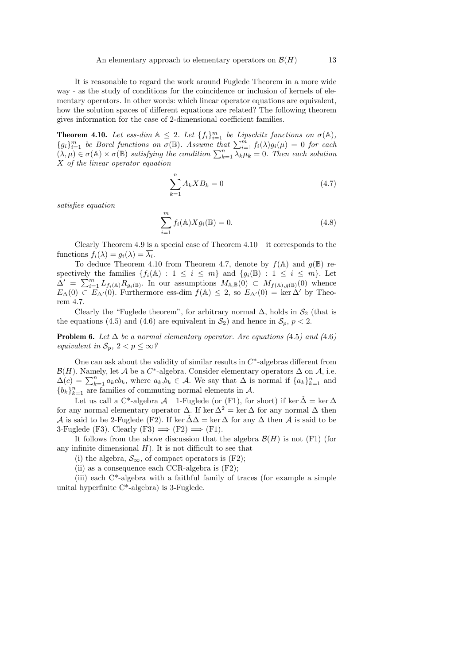It is reasonable to regard the work around Fuglede Theorem in a more wide way - as the study of conditions for the coincidence or inclusion of kernels of elementary operators. In other words: which linear operator equations are equivalent, how the solution spaces of different equations are related? The following theorem gives information for the case of 2-dimensional coefficient families.

**Theorem 4.10.** Let ess-dim  $A \leq 2$ . Let  $\{f_i\}_{i=1}^m$  be Lipschitz functions on  $\sigma(A)$ ,  ${g_i}_{i=1}^m$  be Borel functions on  $\sigma(\mathbb{B})$ . Assume that  $\sum_{i=1}^m f_i(\lambda)g_i(\mu) = 0$  for each  $(\lambda, \mu) \in \sigma(\mathbb{A}) \times \sigma(\mathbb{B})$  satisfying the condition  $\sum_{k=1}^{n} \lambda_k \mu_k = 0$ . Then each solution X of the linear operator equation

$$
\sum_{k=1}^{n} A_k X B_k = 0 \tag{4.7}
$$

satisfies equation

$$
\sum_{i=1}^{m} f_i(\mathbb{A}) X g_i(\mathbb{B}) = 0.
$$
\n(4.8)

Clearly Theorem 4.9 is a special case of Theorem  $4.10 - it$  corresponds to the functions  $f_i(\lambda) = g_i(\lambda) = \lambda_i$ .

To deduce Theorem 4.10 from Theorem 4.7, denote by  $f(\mathbb{A})$  and  $g(\mathbb{B})$  respectively the families  $\{f_i(\mathbb{A}) : 1 \leq i \leq m\}$  and  $\{g_i(\mathbb{B}) : 1 \leq i \leq m\}$ . Let  $\Delta' = \sum_{i=1}^m L_{f_i(\mathbb{A})} R_{g_i(\mathbb{B})}$ . In our assumptions  $M_{\mathbb{A},\mathbb{B}}(0) \subset M_{f(\mathbb{A}),g(\mathbb{B})}(0)$  whence  $E_{\Delta}(0) \subset E_{\Delta'}(0)$ . Furthermore ess-dim  $f(\mathbb{A}) \leq 2$ , so  $E_{\Delta'}(0) = \ker \Delta'$  by Theorem 4.7.

Clearly the "Fuglede theorem", for arbitrary normal  $\Delta$ , holds in  $S_2$  (that is the equations (4.5) and (4.6) are equivalent in  $S_2$ ) and hence in  $S_p$ ,  $p < 2$ .

**Problem 6.** Let  $\Delta$  be a normal elementary operator. Are equations (4.5) and (4.6) equivalent in  $\mathcal{S}_p$ ,  $2 < p \leq \infty$ ?

One can ask about the validity of similar results in  $C^*$ -algebras different from  $\mathcal{B}(H)$ . Namely, let A be a C<sup>\*</sup>-algebra. Consider elementary operators  $\Delta$  on A, i.e.  $\Delta(c) = \sum_{k=1}^{n} a_k cb_k$ , where  $a_k, b_k \in \mathcal{A}$ . We say that  $\Delta$  is normal if  $\{a_k\}_{k=1}^{n}$  and  ${b_k}_{k=1}^n$  are families of commuting normal elements in A.

Let us call a C<sup>\*</sup>-algebra A 1-Fuglede (or (F1), for short) if ker  $\tilde{\Delta} = \ker \Delta$ for any normal elementary operator  $\Delta$ . If ker  $\Delta^2 = \ker \Delta$  for any normal  $\Delta$  then A is said to be 2-Fuglede (F2). If ker  $\tilde{\Delta}\Delta = \ker \Delta$  for any  $\Delta$  then A is said to be 3-Fuglede (F3). Clearly (F3)  $\implies$  (F2)  $\implies$  (F1).

It follows from the above discussion that the algebra  $\mathcal{B}(H)$  is not (F1) (for any infinite dimensional  $H$ ). It is not difficult to see that

(i) the algebra,  $\mathcal{S}_{\infty}$ , of compact operators is (F2);

(ii) as a consequence each CCR-algebra is (F2);

(iii) each C\*-algebra with a faithful family of traces (for example a simple unital hyperfinite C\*-algebra) is 3-Fuglede.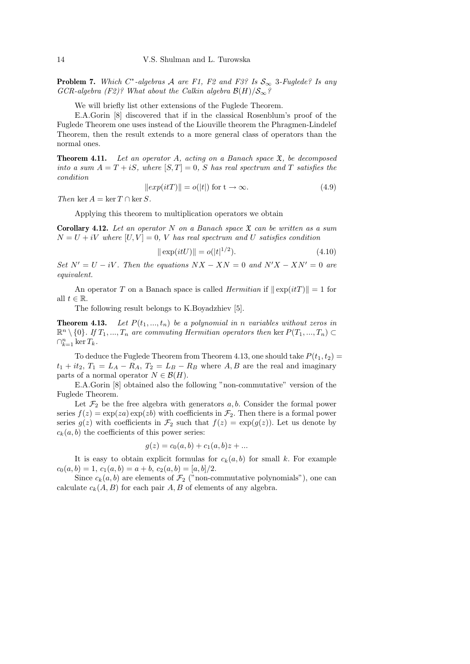**Problem 7.** Which  $C^*$ -algebras A are F1, F2 and F3? Is  $S_{\infty}$  3-Fuglede? Is any GCR-algebra (F2)? What about the Calkin algebra  $\mathcal{B}(H)/\mathcal{S}_{\infty}$ ?

We will briefly list other extensions of the Fuglede Theorem.

E.A.Gorin [8] discovered that if in the classical Rosenblum's proof of the Fuglede Theorem one uses instead of the Liouville theorem the Phragmen-Lindelef Theorem, then the result extends to a more general class of operators than the normal ones.

**Theorem 4.11.** Let an operator A, acting on a Banach space  $\mathfrak{X}$ , be decomposed into a sum  $A = T + iS$ , where  $[S, T] = 0$ , S has real spectrum and T satisfies the condition

$$
||exp(itT)|| = o(|t|) \text{ for } t \to \infty.
$$
 (4.9)

Then ker  $A = \ker T \cap \ker S$ .

Applying this theorem to multiplication operators we obtain

**Corollary 4.12.** Let an operator N on a Banach space  $\mathfrak{X}$  can be written as a sum  $N = U + iV$  where  $[U, V] = 0$ , V has real spectrum and U satisfies condition

$$
\|\exp(itU)\| = o(|t|^{1/2}).\tag{4.10}
$$

Set  $N' = U - iV$ . Then the equations  $NX - XN = 0$  and  $N'X - XN' = 0$  are equivalent.

An operator T on a Banach space is called *Hermitian* if  $\|\exp(itT)\| = 1$  for all  $t \in \mathbb{R}$ .

The following result belongs to K.Boyadzhiev [5].

**Theorem 4.13.** Let  $P(t_1, ..., t_n)$  be a polynomial in n variables without zeros in  $\mathbb{R}^n \setminus \{0\}$ . If  $T_1, ..., T_n$  are commuting Hermitian operators then ker  $P(T_1, ..., T_n)$  $\bigcap_{k=1}^n \ker T_k$ .

To deduce the Fuglede Theorem from Theorem 4.13, one should take  $P(t_1, t_2)$  =  $t_1 + it_2$ ,  $T_1 = L_A - R_A$ ,  $T_2 = L_B - R_B$  where A, B are the real and imaginary parts of a normal operator  $N \in \mathcal{B}(H)$ .

E.A.Gorin [8] obtained also the following "non-commutative" version of the Fuglede Theorem.

Let  $\mathcal{F}_2$  be the free algebra with generators a, b. Consider the formal power series  $f(z) = \exp(za) \exp(zb)$  with coefficients in  $\mathcal{F}_2$ . Then there is a formal power series  $g(z)$  with coefficients in  $\mathcal{F}_2$  such that  $f(z) = \exp(g(z))$ . Let us denote by  $c_k(a, b)$  the coefficients of this power series:

$$
g(z) = c_0(a, b) + c_1(a, b)z + \dots
$$

It is easy to obtain explicit formulas for  $c_k(a, b)$  for small k. For example  $c_0(a, b) = 1, c_1(a, b) = a + b, c_2(a, b) = [a, b]/2.$ 

Since  $c_k(a, b)$  are elements of  $\mathcal{F}_2$  ("non-commutative polynomials"), one can calculate  $c_k(A, B)$  for each pair A, B of elements of any algebra.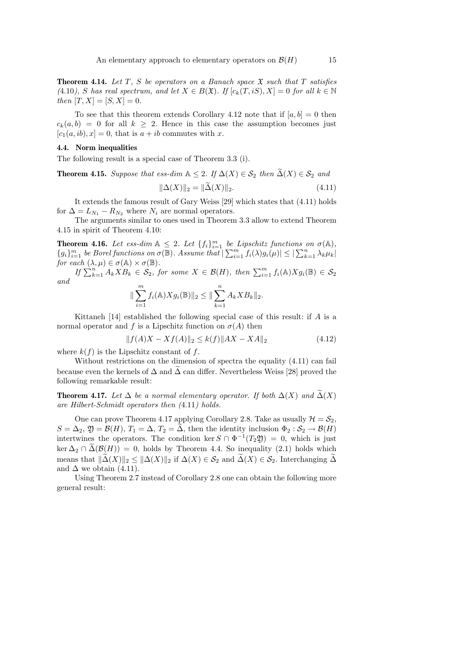**Theorem 4.14.** Let T, S be operators on a Banach space  $\mathfrak{X}$  such that T satisfies (4.10), S has real spectrum, and let  $X \in B(\mathfrak{X})$ . If  $[c_k(T, iS), X] = 0$  for all  $k \in \mathbb{N}$ then  $[T, X] = [S, X] = 0$ .

To see that this theorem extends Corollary 4.12 note that if  $[a, b] = 0$  then  $c_k(a, b) = 0$  for all  $k \geq 2$ . Hence in this case the assumption becomes just  $[c_1(a, ib), x] = 0$ , that is  $a + ib$  commutes with x.

#### 4.4. Norm inequalities

The following result is a special case of Theorem 3.3 (i).

**Theorem 4.15.** Suppose that ess-dim  $A \leq 2$ . If  $\Delta(X) \in S_2$  then  $\widetilde{\Delta}(X) \in S_2$  and

$$
\|\Delta(X)\|_2 = \|\tilde{\Delta}(X)\|_2. \tag{4.11}
$$

It extends the famous result of Gary Weiss [29] which states that (4.11) holds for  $\Delta = L_{N_1} - R_{N_2}$  where  $N_i$  are normal operators.

The arguments similar to ones used in Theorem 3.3 allow to extend Theorem 4.15 in spirit of Theorem 4.10:

**Theorem 4.16.** Let ess-dim  $A \leq 2$ . Let  $\{f_i\}_{i=1}^m$  be Lipschitz functions on  $\sigma(A)$ ,  ${g_i}_{i=1}^m$  be Borel functions on  $\sigma(\overline{\mathbb{B}})$ . Assume that  $\sum_{i=1}^m f_i(\lambda)g_i(\mu) \leq |\sum_{k=1}^n \lambda_k \mu_k|$ for each  $(\lambda, \mu) \in \sigma(\mathbb{A}) \times \sigma(\mathbb{B})$ .

If  $\sum_{k=1}^{n} A_k X B_k \in \mathcal{S}_2$ , for some  $X \in \mathcal{B}(H)$ , then  $\sum_{i=1}^{m} f_i(\mathbb{A}) X g_i(\mathbb{B}) \in \mathcal{S}_2$ and

$$
\|\sum_{i=1}^m f_i(\mathbb{A})Xg_i(\mathbb{B})\|_2 \le \|\sum_{k=1}^n A_k XB_k\|_2.
$$

Kittaneh [14] established the following special case of this result: if  $A$  is a normal operator and f is a Lipschitz function on  $\sigma(A)$  then

$$
||f(A)X - Xf(A)||_2 \le k(f)||AX - XA||_2
$$
\n(4.12)

where  $k(f)$  is the Lipschitz constant of f.

Without restrictions on the dimension of spectra the equality  $(4.11)$  can fail because even the kernels of  $\Delta$  and  $\Delta$  can differ. Nevertheless Weiss [28] proved the following remarkable result:

**Theorem 4.17.** Let  $\Delta$  be a normal elementary operator. If both  $\Delta(X)$  and  $\widetilde{\Delta}(X)$ are Hilbert-Schmidt operators then (4.11) holds.

One can prove Theorem 4.17 applying Corollary 2.8. Take as usually  $\mathcal{H} = \mathcal{S}_2$ ,  $S = \Delta_2$ ,  $\mathfrak{Y} = \mathcal{B}(H)$ ,  $T_1 = \Delta$ ,  $T_2 = \Delta$ , then the identity inclusion  $\Phi_2 : \mathcal{S}_2 \to \mathcal{B}(H)$ intertwines the operators. The condition ker  $S \cap \Phi^{-1}(T_2, \mathfrak{Y}) = 0$ , which is just  $\ker \Delta_2 \cap \widetilde{\Delta}(\mathcal{B}(H)) = 0$ , holds by Theorem 4.4. So inequality (2.1) holds which means that  $\|\tilde{\Delta}(X)\|_2 \leq \|\Delta(X)\|_2$  if  $\Delta(X) \in \mathcal{S}_2$  and  $\tilde{\Delta}(X) \in \mathcal{S}_2$ . Interchanging  $\tilde{\Delta}$ and  $\Delta$  we obtain (4.11).

Using Theorem 2.7 instead of Corollary 2.8 one can obtain the following more general result: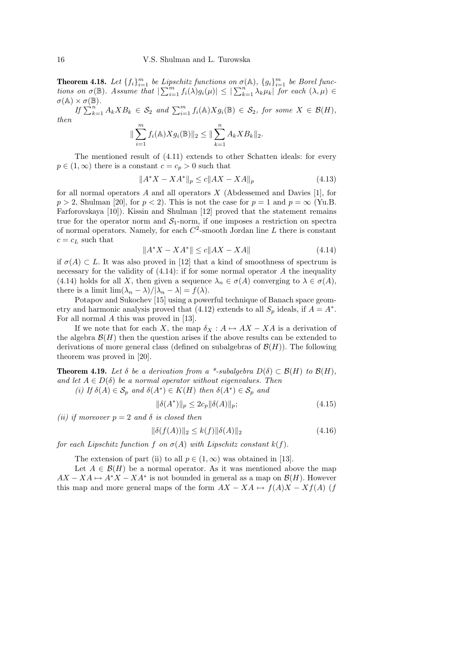**Theorem 4.18.** Let  $\{f_i\}_{i=1}^m$  be Lipschitz functions on  $\sigma(\mathbb{A})$ ,  $\{g_i\}_{i=1}^m$  be Borel functions on  $\sigma(\mathbb{B})$ . Assume that  $|\sum_{i=1}^m f_i(\lambda)g_i(\mu)| \leq |\sum_{k=1}^n \lambda_k \mu_k|$  for each  $(\lambda, \mu)$  $\sigma(\mathbb{A}) \times \sigma(\mathbb{B})$ .

If  $\sum_{k=1}^{n} A_k X B_k \in S_2$  and  $\sum_{i=1}^{m} f_i(\mathbb{A}) X g_i(\mathbb{B}) \in S_2$ , for some  $X \in \mathcal{B}(H)$ , then

$$
\|\sum_{i=1}^m f_i(\mathbb{A})Xg_i(\mathbb{B})\|_2 \le \|\sum_{k=1}^n A_k XB_k\|_2.
$$

The mentioned result of (4.11) extends to other Schatten ideals: for every  $p \in (1,\infty)$  there is a constant  $c = c_p > 0$  such that

$$
||A^*X - XA^*||_p \le c||AX - XA||_p \tag{4.13}
$$

for all normal operators  $A$  and all operators  $X$  (Abdessemed and Davies [1], for  $p > 2$ , Shulman [20], for  $p < 2$ ). This is not the case for  $p = 1$  and  $p = \infty$  (Yu.B. Farforovskaya [10]). Kissin and Shulman [12] proved that the statement remains true for the operator norm and  $S_1$ -norm, if one imposes a restriction on spectra of normal operators. Namely, for each  $C^2$ -smooth Jordan line  $L$  there is constant  $c = c_L$  such that

$$
||A^*X - XA^*|| \le c||AX - XA|| \tag{4.14}
$$

if  $\sigma(A) \subset L$ . It was also proved in [12] that a kind of smoothness of spectrum is necessary for the validity of  $(4.14)$ : if for some normal operator  $A$  the inequality (4.14) holds for all X, then given a sequence  $\lambda_n \in \sigma(A)$  converging to  $\lambda \in \sigma(A)$ , there is a limit  $\lim_{n \to \infty} (\lambda_n - \lambda)/|\lambda_n - \lambda| = f(\lambda)$ .

Potapov and Sukochev [15] using a powerful technique of Banach space geometry and harmonic analysis proved that  $(4.12)$  extends to all  $S_p$  ideals, if  $A = A^*$ . For all normal A this was proved in [13].

If we note that for each X, the map  $\delta_X : A \mapsto AX - XA$  is a derivation of the algebra  $\mathcal{B}(H)$  then the question arises if the above results can be extended to derivations of more general class (defined on subalgebras of  $\mathcal{B}(H)$ ). The following theorem was proved in [20].

**Theorem 4.19.** Let  $\delta$  be a derivation from a \*-subalgebra  $D(\delta) \subset \mathcal{B}(H)$  to  $\mathcal{B}(H)$ , and let  $A \in D(\delta)$  be a normal operator without eigenvalues. Then

(i) If  $\delta(A) \in S_p$  and  $\delta(A^*) \in K(H)$  then  $\delta(A^*) \in S_p$  and

$$
\|\delta(A^*)\|_p \le 2c_p \|\delta(A)\|_p; \tag{4.15}
$$

(ii) if moreover  $p = 2$  and  $\delta$  is closed then

$$
\|\delta(f(A))\|_2 \le k(f)\|\delta(A)\|_2 \tag{4.16}
$$

for each Lipschitz function f on  $\sigma(A)$  with Lipschitz constant  $k(f)$ .

The extension of part (ii) to all  $p \in (1,\infty)$  was obtained in [13].

Let  $A \in \mathcal{B}(H)$  be a normal operator. As it was mentioned above the map  $AX - XA \mapsto A^*X - XA^*$  is not bounded in general as a map on  $\mathcal{B}(H)$ . However this map and more general maps of the form  $AX - XA \mapsto f(A)X - Xf(A)$  (f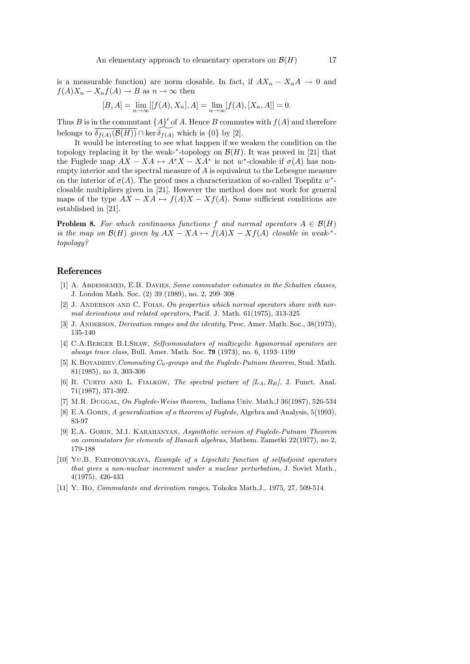is a measurable function) are norm closable. In fact, if  $AX_n - X_nA \rightarrow 0$  and  $f(A)X_n - X_nf(A) \to B$  as  $n \to \infty$  then

$$
[B, A] = \lim_{n \to \infty} [[f(A), X_n], A] = \lim_{n \to \infty} [f(A), [X_n, A]] = 0.
$$

Thus B is in the commutant  $\{A\}'$  of A. Hence B commutes with  $f(A)$  and therefore belongs to  $\overline{\delta_{f(A)}(\mathcal{B}(H))} \cap \text{ker } \overline{\delta_{f(A)}}$  which is  $\{0\}$  by [2].

It would be interesting to see what happen if we weaken the condition on the topology replacing it by the weak- $*$ -topology on  $\mathcal{B}(H)$ . It was proved in [21] that the Fuglede map  $AX - XA \mapsto A^*X - XA^*$  is not w<sup>\*</sup>-closable if  $\sigma(A)$  has nonempty interior and the spectral measure of A is equivalent to the Lebesgue measure on the interior of  $\sigma(A)$ . The proof uses a characterization of so-called Toeplitz w<sup>\*</sup>closable multipliers given in [21]. However the method does not work for general maps of the type  $AX - XA \mapsto f(A)X - Xf(A)$ . Some sufficient conditions are established in [21].

**Problem 8.** For which continuous functions f and normal operators  $A \in \mathcal{B}(H)$ is the map on  $\mathcal{B}(H)$  given by  $AX - XA \mapsto f(A)X - Xf(A)$  closable in weak-\*topology?

## References

- [1] A. ABDESSEMED, E.B. DAVIES, Some commutator estimates in the Schatten classes, J. London Math. Soc. (2) 39 (1989), no. 2, 299–308
- [2] J. ANDERSON AND C. FOIAS, On properties which normal operators share with normal derivations and related operators, Pacif. J. Math. 61(1975), 313-325
- [3] J. ANDERSON, *Derivation ranges and the identity*, Proc. Amer. Math. Soc., 38(1973), 135-140
- [4] C.A.BERGER B.I.SHAW, Selfcommutators of multicyclic hyponormal operators are always trace class, Bull. Amer. Math. Soc. 79 (1973), no. 6, 1193–1199
- [5] K.BOYADZIEV, Commuting  $C_0$ -groups and the Fuglede-Putnam theorem, Stud. Math. 81(1985), no 3, 303-306
- [6] R. CURTO AND L. FIALKOW, The spectral picture of  $(L_A, R_B)$ , J. Funct. Anal. 71(1987), 371-392.
- [7] M.R. DUGGAL, On Fuglede-Weiss theorem, Indiana Univ. Math.J 36(1987), 526-534
- [8] E.A.GORIN, A generalization of a theorem of Fuglede, Algebra and Analysis, 5(1993), 83-97
- [9] E.A. Gorin, M.I. Karahanyan, Asymthotic version of Fuglede-Putnam Theorem on commutators for elements of Banach algebras, Mathem. Zametki 22(1977), no 2, 179-188
- [10] Yu.B. Farforovskaya, Example of a Lipschitz function of selfadjoint operators that gives a non-nuclear increment under a nuclear perturbation, J. Soviet Math., 4(1975), 426-433
- [11] Y. Ho, Commutants and derivation ranges, Tohoku Math.J., 1975, 27, 509-514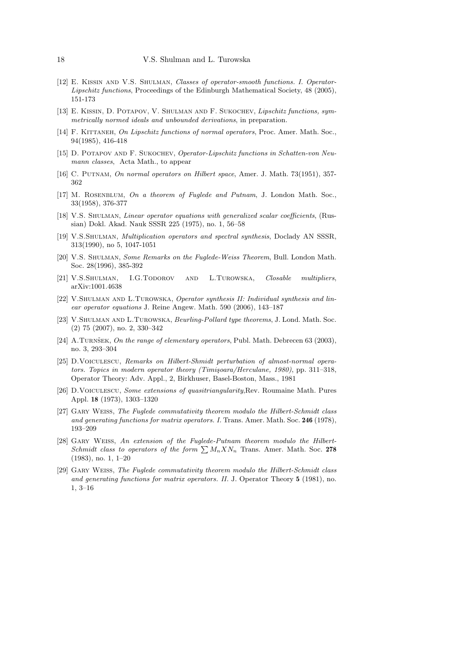- [12] E. Kissin and V.S. Shulman, Classes of operator-smooth functions. I. Operator-Lipschitz functions, Proceedings of the Edinburgh Mathematical Society, 48 (2005), 151-173
- [13] E. KISSIN, D. POTAPOV, V. SHULMAN AND F. SUKOCHEV, Lipschitz functions, symmetrically normed ideals and unbounded derivations, in preparation.
- [14] F. KITTANEH, On Lipschitz functions of normal operators, Proc. Amer. Math. Soc., 94(1985), 416-418
- [15] D. POTAPOV AND F. SUKOCHEV, Operator-Lipschitz functions in Schatten-von Neumann classes. Acta Math., to appear
- [16] C. Putnam, On normal operators on Hilbert space, Amer. J. Math. 73(1951), 357- 362
- [17] M. ROSENBLUM, On a theorem of Fuglede and Putnam, J. London Math. Soc., 33(1958), 376-377
- [18] V.S. Shulman, Linear operator equations with generalized scalar coefficients, (Russian) Dokl. Akad. Nauk SSSR 225 (1975), no. 1, 56–58
- [19] V.S.Shulman, Multiplication operators and spectral synthesis, Doclady AN SSSR, 313(1990), no 5, 1047-1051
- [20] V.S. Shulman, Some Remarks on the Fuglede-Weiss Theorem, Bull. London Math. Soc. 28(1996), 385-392
- [21] V.S.Shulman, I.G.Todorov and L.Turowska, Closable multipliers, arXiv:1001.4638
- [22] V.Shulman and L.Turowska, Operator synthesis II: Individual synthesis and linear operator equations J. Reine Angew. Math. 590 (2006), 143–187
- [23] V.SHULMAN AND L.TUROWSKA, Beurling-Pollard type theorems, J. Lond. Math. Soc. (2) 75 (2007), no. 2, 330–342
- [24] A.Turnšek, On the range of elementary operators, Publ. Math. Debrecen 63 (2003), no. 3, 293–304
- [25] D.VOICULESCU, Remarks on Hilbert-Shmidt perturbation of almost-normal operators. Topics in modern operator theory (Timișoara/Herculane, 1980), pp. 311–318, Operator Theory: Adv. Appl., 2, Birkhuser, Basel-Boston, Mass., 1981
- [26] D.Voiculescu, Some extensions of quasitriangularity,Rev. Roumaine Math. Pures Appl. 18 (1973), 1303–1320
- [27] Gary Weiss, The Fuglede commutativity theorem modulo the Hilbert-Schmidt class and generating functions for matrix operators. I. Trans. Amer. Math. Soc. 246 (1978), 193–209
- [28] Gary Weiss, An extension of the Fuglede-Putnam theorem modulo the Hilbert-Schmidt class to operators of the form  $\sum M_n X N_n$  Trans. Amer. Math. Soc. 278 (1983), no. 1, 1–20
- [29] Gary Weiss, The Fuglede commutativity theorem modulo the Hilbert-Schmidt class and generating functions for matrix operators. II. J. Operator Theory 5 (1981), no. 1, 3–16